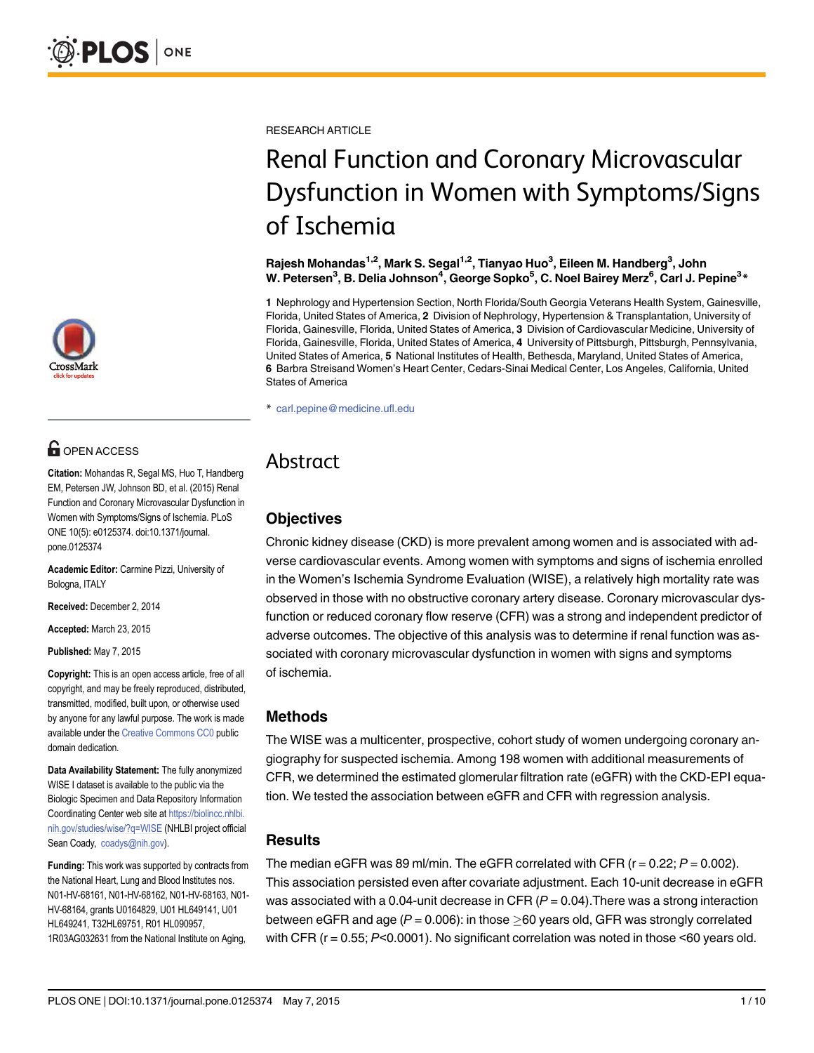

# **OPEN ACCESS**

Citation: Mohandas R, Segal MS, Huo T, Handberg EM, Petersen JW, Johnson BD, et al. (2015) Renal Function and Coronary Microvascular Dysfunction in Women with Symptoms/Signs of Ischemia. PLoS ONE 10(5): e0125374. doi:10.1371/journal. pone.0125374

Academic Editor: Carmine Pizzi, University of Bologna, ITALY

Received: December 2, 2014

Accepted: March 23, 2015

Published: May 7, 2015

Copyright: This is an open access article, free of all copyright, and may be freely reproduced, distributed, transmitted, modified, built upon, or otherwise used by anyone for any lawful purpose. The work is made available under the [Creative Commons CC0](https://creativecommons.org/publicdomain/zero/1.0/) public domain dedication.

Data Availability Statement: The fully anonymized WISE I dataset is available to the public via the Biologic Specimen and Data Repository Information Coordinating Center web site at [https://biolincc.nhlbi.](https://biolincc.nhlbi.nih.gov/studies/wise/?q=WISE) [nih.gov/studies/wise/?q=WISE](https://biolincc.nhlbi.nih.gov/studies/wise/?q=WISE) (NHLBI project official Sean Coady, coadys@nih.gov).

Funding: This work was supported by contracts from the National Heart, Lung and Blood Institutes nos. N01-HV-68161, N01-HV-68162, N01-HV-68163, N01- HV-68164, grants U0164829, U01 HL649141, U01 HL649241, T32HL69751, R01 HL090957, 1R03AG032631 from the National Institute on Aging,

RESEARCH ARTICLE

# Renal Function and Coronary Microvascular Dysfunction in Women with Symptoms/Signs of Ischemia

Rajesh Mohandas<sup>1,2</sup>, Mark S. Segal<sup>1,2</sup>, Tianyao Huo<sup>3</sup>, Eileen M. Handberg<sup>3</sup>, John W. Petersen $^3$ , B. Delia Johnson $^4$ , George Sopko $^5$ , C. Noel Bairey Merz $^6$ , Carl J. Pepine $^3\ast$ 

1 Nephrology and Hypertension Section, North Florida/South Georgia Veterans Health System, Gainesville, Florida, United States of America, 2 Division of Nephrology, Hypertension & Transplantation, University of Florida, Gainesville, Florida, United States of America, 3 Division of Cardiovascular Medicine, University of Florida, Gainesville, Florida, United States of America, 4 University of Pittsburgh, Pittsburgh, Pennsylvania, United States of America, 5 National Institutes of Health, Bethesda, Maryland, United States of America, 6 Barbra Streisand Women's Heart Center, Cedars-Sinai Medical Center, Los Angeles, California, United States of America

\* carl.pepine@medicine.ufl.edu

# Abstract

### **Objectives**

Chronic kidney disease (CKD) is more prevalent among women and is associated with adverse cardiovascular events. Among women with symptoms and signs of ischemia enrolled in the Women's Ischemia Syndrome Evaluation (WISE), a relatively high mortality rate was observed in those with no obstructive coronary artery disease. Coronary microvascular dysfunction or reduced coronary flow reserve (CFR) was a strong and independent predictor of adverse outcomes. The objective of this analysis was to determine if renal function was associated with coronary microvascular dysfunction in women with signs and symptoms of ischemia.

#### Methods

The WISE was a multicenter, prospective, cohort study of women undergoing coronary angiography for suspected ischemia. Among 198 women with additional measurements of CFR, we determined the estimated glomerular filtration rate (eGFR) with the CKD-EPI equation. We tested the association between eGFR and CFR with regression analysis.

#### **Results**

The median eGFR was 89 ml/min. The eGFR correlated with CFR ( $r = 0.22$ ;  $P = 0.002$ ). This association persisted even after covariate adjustment. Each 10-unit decrease in eGFR was associated with a 0.04-unit decrease in CFR  $(P = 0.04)$ . There was a strong interaction between eGFR and age ( $P = 0.006$ ): in those  $\geq 60$  years old, GFR was strongly correlated with CFR ( $r = 0.55$ ;  $P < 0.0001$ ). No significant correlation was noted in those  $< 60$  years old.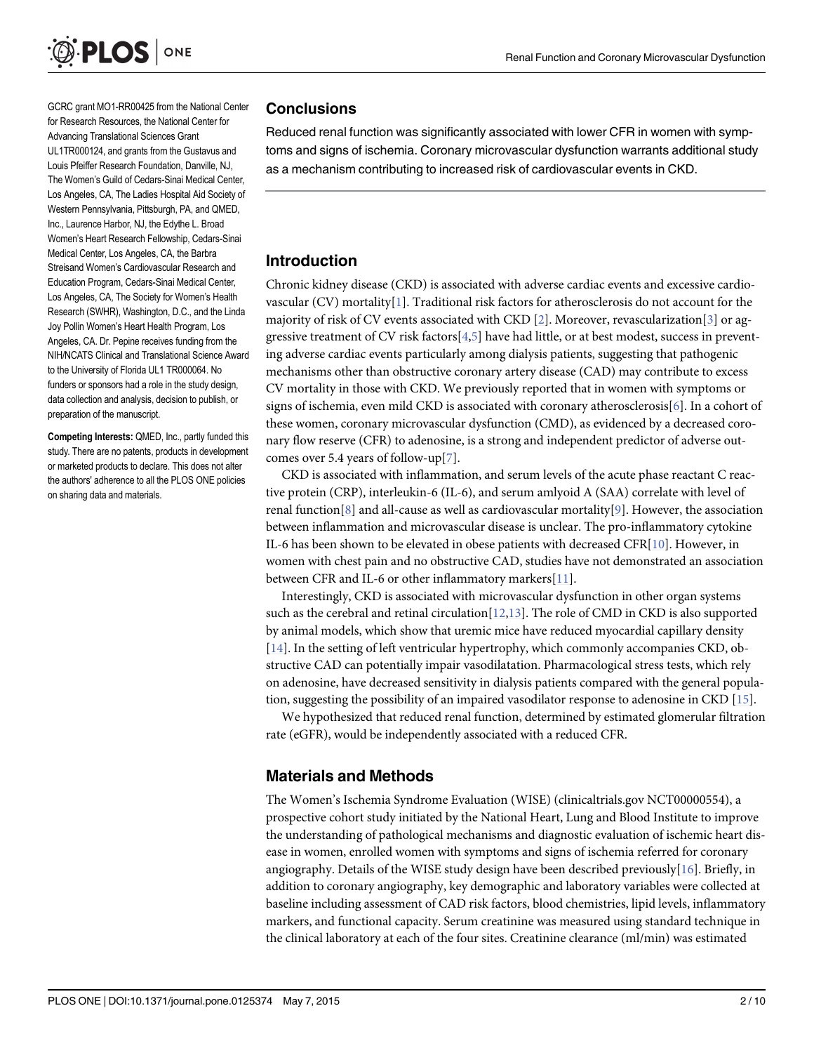<span id="page-1-0"></span>

GCRC grant MO1-RR00425 from the National Center for Research Resources, the National Center for Advancing Translational Sciences Grant UL1TR000124, and grants from the Gustavus and Louis Pfeiffer Research Foundation, Danville, NJ, The Women's Guild of Cedars-Sinai Medical Center, Los Angeles, CA, The Ladies Hospital Aid Society of Western Pennsylvania, Pittsburgh, PA, and QMED, Inc., Laurence Harbor, NJ, the Edythe L. Broad Women's Heart Research Fellowship, Cedars-Sinai Medical Center, Los Angeles, CA, the Barbra Streisand Women's Cardiovascular Research and Education Program, Cedars-Sinai Medical Center, Los Angeles, CA, The Society for Women's Health Research (SWHR), Washington, D.C., and the Linda Joy Pollin Women's Heart Health Program, Los Angeles, CA. Dr. Pepine receives funding from the NIH/NCATS Clinical and Translational Science Award to the University of Florida UL1 TR000064. No funders or sponsors had a role in the study design, data collection and analysis, decision to publish, or preparation of the manuscript.

Competing Interests: QMED, Inc., partly funded this study. There are no patents, products in development or marketed products to declare. This does not alter the authors' adherence to all the PLOS ONE policies on sharing data and materials.

#### **Conclusions**

Reduced renal function was significantly associated with lower CFR in women with symptoms and signs of ischemia. Coronary microvascular dysfunction warrants additional study as a mechanism contributing to increased risk of cardiovascular events in CKD.

#### Introduction

Chronic kidney disease (CKD) is associated with adverse cardiac events and excessive cardiovascular (CV) mortality[[1\]](#page-8-0). Traditional risk factors for atherosclerosis do not account for the majority of risk of CV events associated with CKD [[2\]](#page-8-0). Moreover, revascularization [[3\]](#page-8-0) or aggressive treatment of CV risk factors[[4](#page-8-0),[5](#page-8-0)] have had little, or at best modest, success in preventing adverse cardiac events particularly among dialysis patients, suggesting that pathogenic mechanisms other than obstructive coronary artery disease (CAD) may contribute to excess CV mortality in those with CKD. We previously reported that in women with symptoms or signs of ischemia, even mild CKD is associated with coronary atherosclerosis[[6](#page-8-0)]. In a cohort of these women, coronary microvascular dysfunction (CMD), as evidenced by a decreased coronary flow reserve (CFR) to adenosine, is a strong and independent predictor of adverse outcomes over 5.4 years of follow-up $[7]$  $[7]$ .

CKD is associated with inflammation, and serum levels of the acute phase reactant C reactive protein (CRP), interleukin-6 (IL-6), and serum amlyoid A (SAA) correlate with level of renal function[[8](#page-8-0)] and all-cause as well as cardiovascular mortality[[9](#page-8-0)]. However, the association between inflammation and microvascular disease is unclear. The pro-inflammatory cytokine IL-6 has been shown to be elevated in obese patients with decreased CFR[[10](#page-8-0)]. However, in women with chest pain and no obstructive CAD, studies have not demonstrated an association between CFR and IL-6 or other inflammatory markers[[11](#page-8-0)].

Interestingly, CKD is associated with microvascular dysfunction in other organ systems such as the cerebral and retinal circulation $[12,13]$  $[12,13]$  $[12,13]$  $[12,13]$  $[12,13]$ . The role of CMD in CKD is also supported by animal models, which show that uremic mice have reduced myocardial capillary density [\[14](#page-8-0)]. In the setting of left ventricular hypertrophy, which commonly accompanies CKD, obstructive CAD can potentially impair vasodilatation. Pharmacological stress tests, which rely on adenosine, have decreased sensitivity in dialysis patients compared with the general population, suggesting the possibility of an impaired vasodilator response to adenosine in CKD [\[15\]](#page-8-0).

We hypothesized that reduced renal function, determined by estimated glomerular filtration rate (eGFR), would be independently associated with a reduced CFR.

#### Materials and Methods

The Women's Ischemia Syndrome Evaluation (WISE) (clinicaltrials.gov NCT00000554), a prospective cohort study initiated by the National Heart, Lung and Blood Institute to improve the understanding of pathological mechanisms and diagnostic evaluation of ischemic heart disease in women, enrolled women with symptoms and signs of ischemia referred for coronary angiography. Details of the WISE study design have been described previously[\[16\]](#page-8-0). Briefly, in addition to coronary angiography, key demographic and laboratory variables were collected at baseline including assessment of CAD risk factors, blood chemistries, lipid levels, inflammatory markers, and functional capacity. Serum creatinine was measured using standard technique in the clinical laboratory at each of the four sites. Creatinine clearance (ml/min) was estimated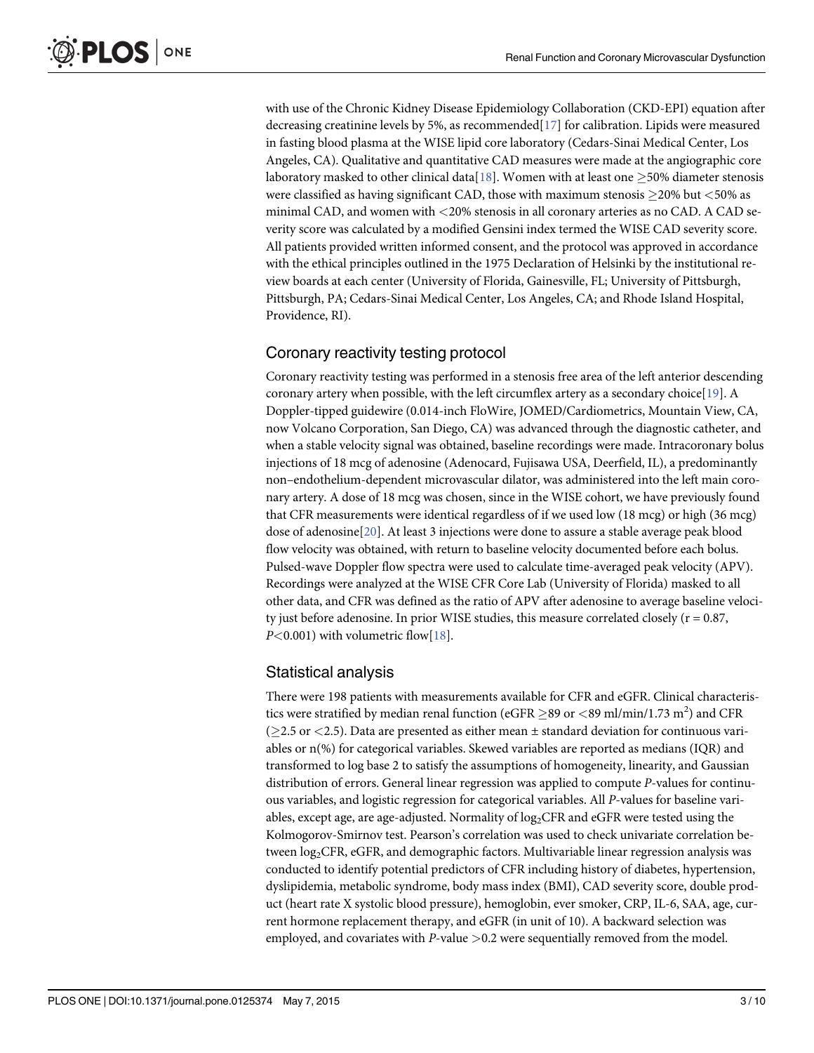<span id="page-2-0"></span>with use of the Chronic Kidney Disease Epidemiology Collaboration (CKD-EPI) equation after decreasing creatinine levels by 5%, as recommended $[17]$  $[17]$  for calibration. Lipids were measured in fasting blood plasma at the WISE lipid core laboratory (Cedars-Sinai Medical Center, Los Angeles, CA). Qualitative and quantitative CAD measures were made at the angiographic core laboratory masked to other clinical data [[18](#page-8-0)]. Women with at least one  $> 50\%$  diameter stenosis were classified as having significant CAD, those with maximum stenosis  $\geq$ 20% but  $<$ 50% as minimal CAD, and women with <20% stenosis in all coronary arteries as no CAD. A CAD severity score was calculated by a modified Gensini index termed the WISE CAD severity score. All patients provided written informed consent, and the protocol was approved in accordance with the ethical principles outlined in the 1975 Declaration of Helsinki by the institutional review boards at each center (University of Florida, Gainesville, FL; University of Pittsburgh, Pittsburgh, PA; Cedars-Sinai Medical Center, Los Angeles, CA; and Rhode Island Hospital, Providence, RI).

#### Coronary reactivity testing protocol

Coronary reactivity testing was performed in a stenosis free area of the left anterior descending coronary artery when possible, with the left circumflex artery as a secondary choice $[19]$  $[19]$ . A Doppler-tipped guidewire (0.014-inch FloWire, JOMED/Cardiometrics, Mountain View, CA, now Volcano Corporation, San Diego, CA) was advanced through the diagnostic catheter, and when a stable velocity signal was obtained, baseline recordings were made. Intracoronary bolus injections of 18 mcg of adenosine (Adenocard, Fujisawa USA, Deerfield, IL), a predominantly non–endothelium-dependent microvascular dilator, was administered into the left main coronary artery. A dose of 18 mcg was chosen, since in the WISE cohort, we have previously found that CFR measurements were identical regardless of if we used low (18 mcg) or high (36 mcg) dose of adenosine[[20](#page-9-0)]. At least 3 injections were done to assure a stable average peak blood flow velocity was obtained, with return to baseline velocity documented before each bolus. Pulsed-wave Doppler flow spectra were used to calculate time-averaged peak velocity (APV). Recordings were analyzed at the WISE CFR Core Lab (University of Florida) masked to all other data, and CFR was defined as the ratio of APV after adenosine to average baseline velocity just before adenosine. In prior WISE studies, this measure correlated closely ( $r = 0.87$ ,  $P<0.001$ ) with volumetric flow[\[18\]](#page-8-0).

#### Statistical analysis

There were 198 patients with measurements available for CFR and eGFR. Clinical characteristics were stratified by median renal function (eGFR  $\geq$ 89 or <89 ml/min/1.73 m<sup>2</sup>) and CFR ( $\geq$ 2.5 or <2.5). Data are presented as either mean  $\pm$  standard deviation for continuous variables or n(%) for categorical variables. Skewed variables are reported as medians (IQR) and transformed to log base 2 to satisfy the assumptions of homogeneity, linearity, and Gaussian distribution of errors. General linear regression was applied to compute P-values for continuous variables, and logistic regression for categorical variables. All P-values for baseline variables, except age, are age-adjusted. Normality of  $log_2$ CFR and eGFR were tested using the Kolmogorov-Smirnov test. Pearson's correlation was used to check univariate correlation between log<sub>2</sub>CFR, eGFR, and demographic factors. Multivariable linear regression analysis was conducted to identify potential predictors of CFR including history of diabetes, hypertension, dyslipidemia, metabolic syndrome, body mass index (BMI), CAD severity score, double product (heart rate X systolic blood pressure), hemoglobin, ever smoker, CRP, IL-6, SAA, age, current hormone replacement therapy, and eGFR (in unit of 10). A backward selection was employed, and covariates with  $P$ -value  $> 0.2$  were sequentially removed from the model.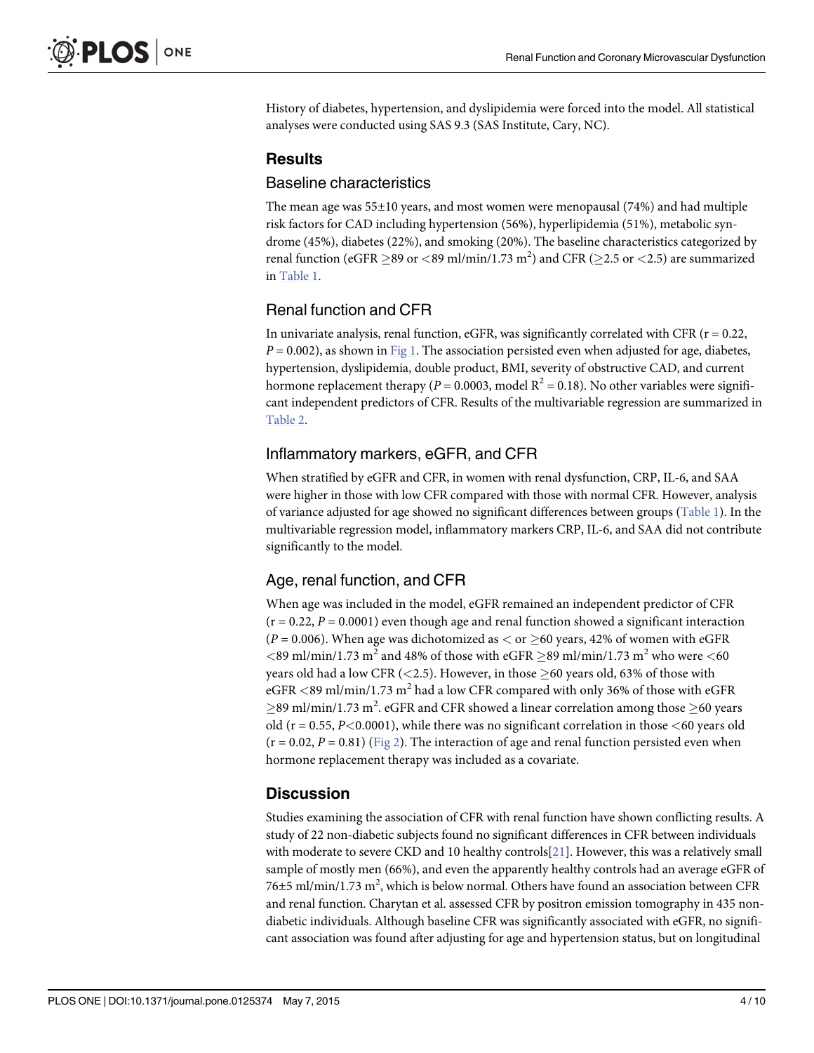<span id="page-3-0"></span>History of diabetes, hypertension, and dyslipidemia were forced into the model. All statistical analyses were conducted using SAS 9.3 (SAS Institute, Cary, NC).

#### **Results**

#### Baseline characteristics

The mean age was  $55\pm10$  years, and most women were menopausal (74%) and had multiple risk factors for CAD including hypertension (56%), hyperlipidemia (51%), metabolic syndrome (45%), diabetes (22%), and smoking (20%). The baseline characteristics categorized by renal function (eGFR  $\geq$ 89 or  $<$ 89 ml/min/1.73 m<sup>2</sup>) and CFR ( $\geq$ 2.5 or  $<$ 2.5) are summarized in [Table 1](#page-4-0).

## Renal function and CFR

In univariate analysis, renal function, eGFR, was significantly correlated with CFR ( $r = 0.22$ ,  $P = 0.002$ ), as shown in [Fig 1](#page-5-0). The association persisted even when adjusted for age, diabetes, hypertension, dyslipidemia, double product, BMI, severity of obstructive CAD, and current hormone replacement therapy ( $P = 0.0003$ , model  $R^2 = 0.18$ ). No other variables were significant independent predictors of CFR. Results of the multivariable regression are summarized in [Table 2](#page-5-0).

#### Inflammatory markers, eGFR, and CFR

When stratified by eGFR and CFR, in women with renal dysfunction, CRP, IL-6, and SAA were higher in those with low CFR compared with those with normal CFR. However, analysis of variance adjusted for age showed no significant differences between groups [\(Table 1](#page-4-0)). In the multivariable regression model, inflammatory markers CRP, IL-6, and SAA did not contribute significantly to the model.

## Age, renal function, and CFR

When age was included in the model, eGFR remained an independent predictor of CFR  $(r = 0.22, P = 0.0001)$  even though age and renal function showed a significant interaction ( $P = 0.006$ ). When age was dichotomized as  $\lt$  or  $\geq 60$  years, 42% of women with eGFR  $\langle$  <89 ml/min/1.73 m<sup>2</sup> and 48% of those with eGFR  $\geq$ 89 ml/min/1.73 m<sup>2</sup> who were  $\langle$  60 years old had a low CFR (<2.5). However, in those  $\geq$  60 years old, 63% of those with eGFR  $\langle 89 \text{ ml/min}/1.73 \text{ m}^2$  had a low CFR compared with only 36% of those with eGFR  $\geq$ 89 ml/min/1.73 m<sup>2</sup>. eGFR and CFR showed a linear correlation among those  $\geq$ 60 years old ( $r = 0.55$ ,  $P < 0.0001$ ), while there was no significant correlation in those  $< 60$  years old  $(r = 0.02, P = 0.81)$  ([Fig 2\)](#page-6-0). The interaction of age and renal function persisted even when hormone replacement therapy was included as a covariate.

#### **Discussion**

Studies examining the association of CFR with renal function have shown conflicting results. A study of 22 non-diabetic subjects found no significant differences in CFR between individuals with moderate to severe CKD and 10 healthy controls  $[21]$  $[21]$  $[21]$ . However, this was a relatively small sample of mostly men (66%), and even the apparently healthy controls had an average eGFR of 76 $\pm$ 5 ml/min/1.73 m<sup>2</sup>, which is below normal. Others have found an association between CFR and renal function. Charytan et al. assessed CFR by positron emission tomography in 435 nondiabetic individuals. Although baseline CFR was significantly associated with eGFR, no significant association was found after adjusting for age and hypertension status, but on longitudinal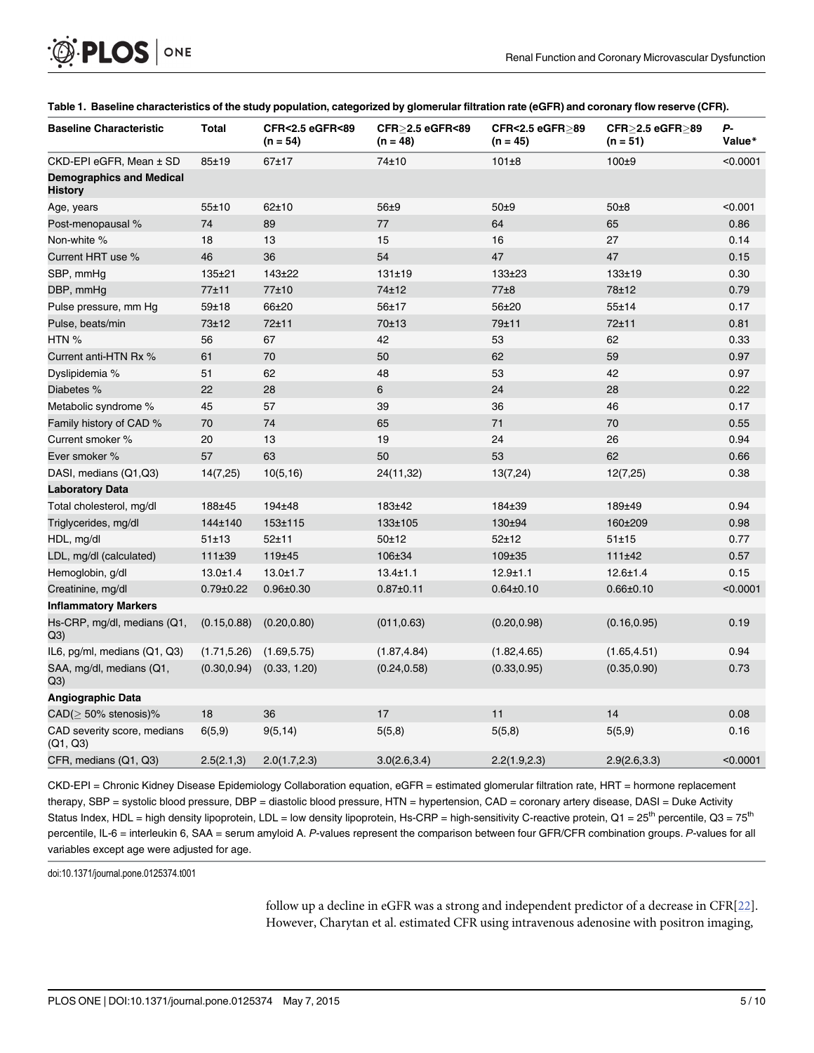<span id="page-4-0"></span>

| <b>Baseline Characteristic</b>             | Total           | <b>CFR&lt;2.5 eGFR&lt;89</b><br>$(n = 54)$ | CFR>2.5 eGFR<89<br>$(n = 48)$ | CFR<2.5 eGFR>89<br>$(n = 45)$ | CFR>2.5 eGFR>89<br>$(n = 51)$ | Р-<br>Value* |
|--------------------------------------------|-----------------|--------------------------------------------|-------------------------------|-------------------------------|-------------------------------|--------------|
| CKD-EPI eGFR, Mean ± SD                    | 85±19           | 67±17                                      | 74±10                         | 101±8                         | 100±9                         | < 0.0001     |
| <b>Demographics and Medical</b><br>History |                 |                                            |                               |                               |                               |              |
| Age, years                                 | 55±10           | 62±10                                      | 56±9                          | 50±9                          | $50\pm8$                      | < 0.001      |
| Post-menopausal %                          | 74              | 89                                         | 77                            | 64                            | 65                            | 0.86         |
| Non-white %                                | 18              | 13                                         | 15                            | 16                            | 27                            | 0.14         |
| Current HRT use %                          | 46              | 36                                         | 54                            | 47                            | 47                            | 0.15         |
| SBP, mmHg                                  | 135±21          | 143±22                                     | 131±19                        | $133 + 23$                    | $133 + 19$                    | 0.30         |
| DBP, mmHg                                  | 77±11           | 77±10                                      | 74±12                         | 77±8                          | 78±12                         | 0.79         |
| Pulse pressure, mm Hg                      | $59 + 18$       | 66±20                                      | 56±17                         | 56±20                         | $55 + 14$                     | 0.17         |
| Pulse, beats/min                           | 73±12           | 72±11                                      | 70±13                         | 79±11                         | 72±11                         | 0.81         |
| HTN %                                      | 56              | 67                                         | 42                            | 53                            | 62                            | 0.33         |
| Current anti-HTN Rx %                      | 61              | 70                                         | 50                            | 62                            | 59                            | 0.97         |
| Dyslipidemia %                             | 51              | 62                                         | 48                            | 53                            | 42                            | 0.97         |
| Diabetes %                                 | 22              | 28                                         | 6                             | 24                            | 28                            | 0.22         |
| Metabolic syndrome %                       | 45              | 57                                         | 39                            | 36                            | 46                            | 0.17         |
| Family history of CAD %                    | 70              | 74                                         | 65                            | 71                            | 70                            | 0.55         |
| Current smoker %                           | 20              | 13                                         | 19                            | 24                            | 26                            | 0.94         |
| Ever smoker %                              | 57              | 63                                         | 50                            | 53                            | 62                            | 0.66         |
| DASI, medians (Q1,Q3)                      | 14(7,25)        | 10(5, 16)                                  | 24(11,32)                     | 13(7,24)                      | 12(7,25)                      | 0.38         |
| <b>Laboratory Data</b>                     |                 |                                            |                               |                               |                               |              |
| Total cholesterol, mg/dl                   | 188±45          | 194±48                                     | 183±42                        | 184±39                        | 189±49                        | 0.94         |
| Triglycerides, mg/dl                       | 144±140         | 153±115                                    | 133±105                       | 130±94                        | 160±209                       | 0.98         |
| HDL, mg/dl                                 | 51±13           | $52 + 11$                                  | 50±12                         | $52 + 12$                     | 51±15                         | 0.77         |
| LDL, mg/dl (calculated)                    | 111±39          | 119±45                                     | 106±34                        | 109±35                        | 111±42                        | 0.57         |
| Hemoglobin, g/dl                           | $13.0 \pm 1.4$  | $13.0 \pm 1.7$                             | $13.4 \pm 1.1$                | $12.9 + 1.1$                  | $12.6 \pm 1.4$                | 0.15         |
| Creatinine, mg/dl                          | $0.79 \pm 0.22$ | $0.96 \pm 0.30$                            | $0.87 \pm 0.11$               | $0.64 \pm 0.10$               | $0.66 \pm 0.10$               | < 0.0001     |
| <b>Inflammatory Markers</b>                |                 |                                            |                               |                               |                               |              |
| Hs-CRP, mg/dl, medians (Q1,<br>Q3)         | (0.15, 0.88)    | (0.20, 0.80)                               | (011, 0.63)                   | (0.20, 0.98)                  | (0.16, 0.95)                  | 0.19         |
| IL6, pg/ml, medians (Q1, Q3)               | (1.71, 5.26)    | (1.69, 5.75)                               | (1.87, 4.84)                  | (1.82, 4.65)                  | (1.65, 4.51)                  | 0.94         |
| SAA, mg/dl, medians (Q1,<br>Q3)            | (0.30, 0.94)    | (0.33, 1.20)                               | (0.24, 0.58)                  | (0.33, 0.95)                  | (0.35, 0.90)                  | 0.73         |
| Angiographic Data                          |                 |                                            |                               |                               |                               |              |
| $CAD \geq 50\%$ stenosis)%                 | 18              | 36                                         | 17                            | 11                            | 14                            | 0.08         |
| CAD severity score, medians<br>(Q1, Q3)    | 6(5,9)          | 9(5, 14)                                   | 5(5,8)                        | 5(5,8)                        | 5(5,9)                        | 0.16         |
| CFR, medians (Q1, Q3)                      | 2.5(2.1,3)      | 2.0(1.7, 2.3)                              | 3.0(2.6, 3.4)                 | 2.2(1.9, 2.3)                 | 2.9(2.6, 3.3)                 | < 0.0001     |

#### [Table 1.](#page-3-0) Baseline characteristics of the study population, categorized by glomerular filtration rate (eGFR) and coronary flow reserve (CFR).

CKD-EPI = Chronic Kidney Disease Epidemiology Collaboration equation, eGFR = estimated glomerular filtration rate, HRT = hormone replacement therapy, SBP = systolic blood pressure, DBP = diastolic blood pressure, HTN = hypertension, CAD = coronary artery disease, DASI = Duke Activity Status Index, HDL = high density lipoprotein, LDL = low density lipoprotein, Hs-CRP = high-sensitivity C-reactive protein, Q1 =  $25<sup>th</sup>$  percentile, Q3 =  $75<sup>th</sup>$ percentile, IL-6 = interleukin 6, SAA = serum amyloid A. P-values represent the comparison between four GFR/CFR combination groups. P-values for all variables except age were adjusted for age.

doi:10.1371/journal.pone.0125374.t001

follow up a decline in eGFR was a strong and independent predictor of a decrease in CFR[\[22\]](#page-9-0). However, Charytan et al. estimated CFR using intravenous adenosine with positron imaging,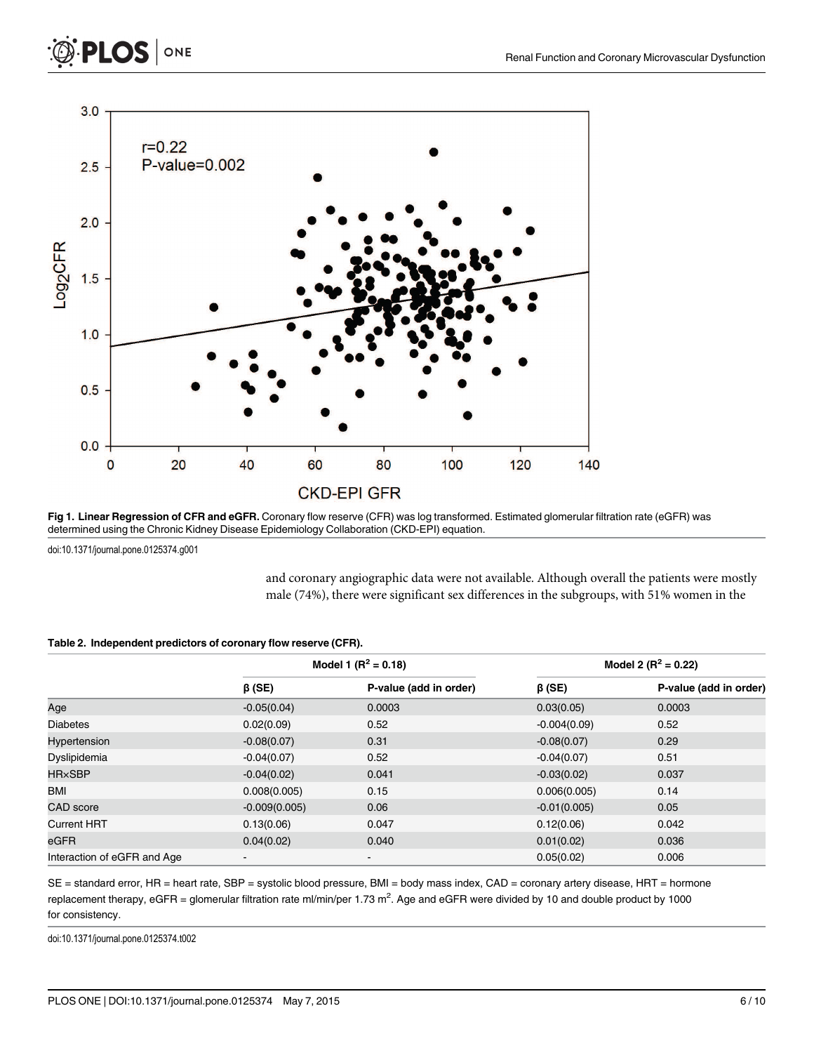<span id="page-5-0"></span>

[Fig 1. L](#page-3-0)inear Regression of CFR and eGFR. Coronary flow reserve (CFR) was log transformed. Estimated glomerular filtration rate (eGFR) was determined using the Chronic Kidney Disease Epidemiology Collaboration (CKD-EPI) equation.

doi:10.1371/journal.pone.0125374.g001

and coronary angiographic data were not available. Although overall the patients were mostly male (74%), there were significant sex differences in the subgroups, with 51% women in the

#### [Table 2.](#page-3-0) Independent predictors of coronary flow reserve (CFR).

|                             |                 | Model 1 $(R^2 = 0.18)$       | Model 2 ( $R^2$ = 0.22) |                        |  |
|-----------------------------|-----------------|------------------------------|-------------------------|------------------------|--|
|                             | $\beta$ (SE)    | P-value (add in order)       | $\beta$ (SE)            | P-value (add in order) |  |
| Age                         | $-0.05(0.04)$   | 0.0003                       | 0.03(0.05)              | 0.0003                 |  |
| Diabetes                    | 0.02(0.09)      | 0.52                         | $-0.004(0.09)$          | 0.52                   |  |
| Hypertension                | $-0.08(0.07)$   | 0.31                         | $-0.08(0.07)$           | 0.29                   |  |
| Dyslipidemia                | $-0.04(0.07)$   | 0.52                         | $-0.04(0.07)$           | 0.51                   |  |
| <b>HR×SBP</b>               | $-0.04(0.02)$   | 0.041                        | $-0.03(0.02)$           | 0.037                  |  |
| BMI                         | 0.008(0.005)    | 0.15                         | 0.006(0.005)            | 0.14                   |  |
| CAD score                   | $-0.009(0.005)$ | 0.06                         | $-0.01(0.005)$          | 0.05                   |  |
| <b>Current HRT</b>          | 0.13(0.06)      | 0.047                        | 0.12(0.06)              | 0.042                  |  |
| eGFR                        | 0.04(0.02)      | 0.040                        | 0.01(0.02)              | 0.036                  |  |
| Interaction of eGFR and Age | $\blacksquare$  | $\qquad \qquad \blacksquare$ | 0.05(0.02)              | 0.006                  |  |

SE = standard error, HR = heart rate, SBP = systolic blood pressure, BMI = body mass index, CAD = coronary artery disease, HRT = hormone replacement therapy, eGFR = glomerular filtration rate ml/min/per 1.73 m<sup>2</sup>. Age and eGFR were divided by 10 and double product by 1000 for consistency.

doi:10.1371/journal.pone.0125374.t002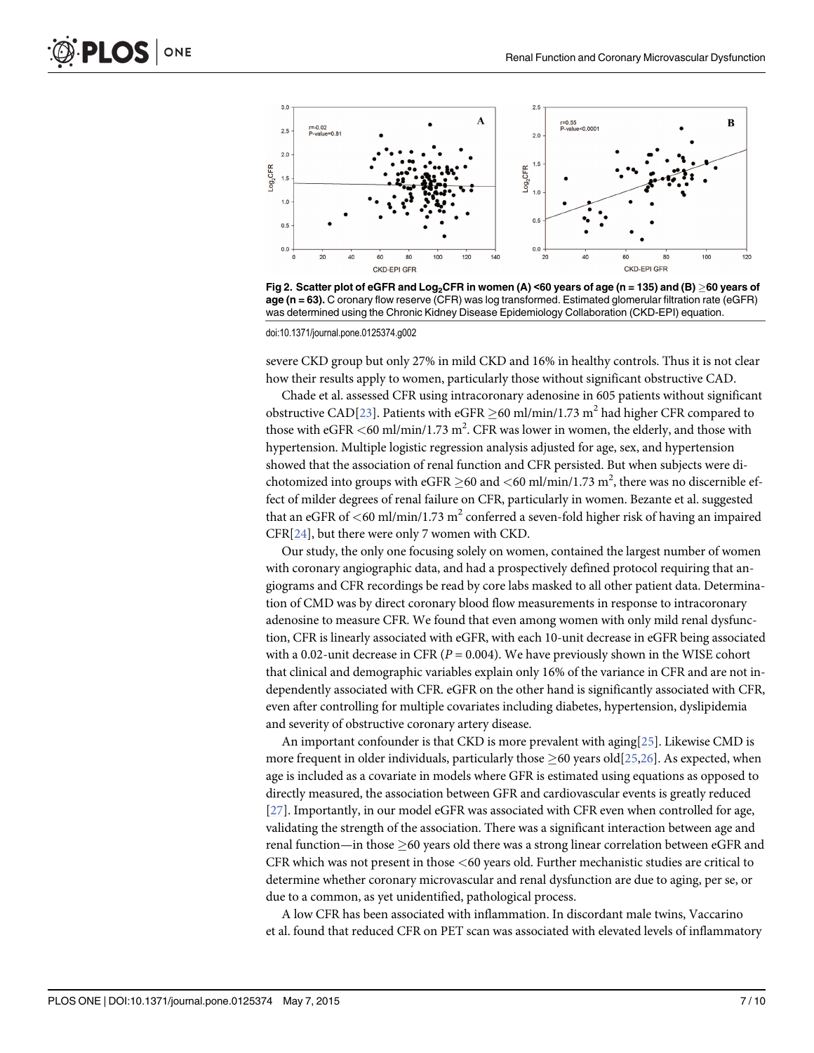<span id="page-6-0"></span>

[Fig 2. S](#page-3-0)catter plot of eGFR and Log<sub>2</sub>CFR in women (A) <60 years of age (n = 135) and (B) >60 years of age (n = 63). C oronary flow reserve (CFR) was log transformed. Estimated glomerular filtration rate (eGFR) was determined using the Chronic Kidney Disease Epidemiology Collaboration (CKD-EPI) equation.

doi:10.1371/journal.pone.0125374.g002

severe CKD group but only 27% in mild CKD and 16% in healthy controls. Thus it is not clear how their results apply to women, particularly those without significant obstructive CAD.

Chade et al. assessed CFR using intracoronary adenosine in 605 patients without significant obstructive CAD[\[23](#page-9-0)]. Patients with eGFR  $>60$  ml/min/1.73 m<sup>2</sup> had higher CFR compared to those with eGFR  $<$  60 ml/min/1.73 m<sup>2</sup>. CFR was lower in women, the elderly, and those with hypertension. Multiple logistic regression analysis adjusted for age, sex, and hypertension showed that the association of renal function and CFR persisted. But when subjects were dichotomized into groups with eGFR  ${\geq}60$  and  ${<}60$  ml/min/1.73  $\text{m}^2,$  there was no discernible effect of milder degrees of renal failure on CFR, particularly in women. Bezante et al. suggested that an eGFR of  $\leq 60$  ml/min/1.73 m<sup>2</sup> conferred a seven-fold higher risk of having an impaired CFR[\[24\]](#page-9-0), but there were only 7 women with CKD.

Our study, the only one focusing solely on women, contained the largest number of women with coronary angiographic data, and had a prospectively defined protocol requiring that angiograms and CFR recordings be read by core labs masked to all other patient data. Determination of CMD was by direct coronary blood flow measurements in response to intracoronary adenosine to measure CFR. We found that even among women with only mild renal dysfunction, CFR is linearly associated with eGFR, with each 10-unit decrease in eGFR being associated with a 0.02-unit decrease in CFR ( $P = 0.004$ ). We have previously shown in the WISE cohort that clinical and demographic variables explain only 16% of the variance in CFR and are not independently associated with CFR. eGFR on the other hand is significantly associated with CFR, even after controlling for multiple covariates including diabetes, hypertension, dyslipidemia and severity of obstructive coronary artery disease.

An important confounder is that CKD is more prevalent with aging[[25](#page-9-0)]. Likewise CMD is more frequent in older individuals, particularly those  $\geq$  60 years old[\[25,26\]](#page-9-0). As expected, when age is included as a covariate in models where GFR is estimated using equations as opposed to directly measured, the association between GFR and cardiovascular events is greatly reduced [\[27](#page-9-0)]. Importantly, in our model eGFR was associated with CFR even when controlled for age, validating the strength of the association. There was a significant interaction between age and renal function—in those  $>60$  years old there was a strong linear correlation between eGFR and CFR which was not present in those <60 years old. Further mechanistic studies are critical to determine whether coronary microvascular and renal dysfunction are due to aging, per se, or due to a common, as yet unidentified, pathological process.

A low CFR has been associated with inflammation. In discordant male twins, Vaccarino et al. found that reduced CFR on PET scan was associated with elevated levels of inflammatory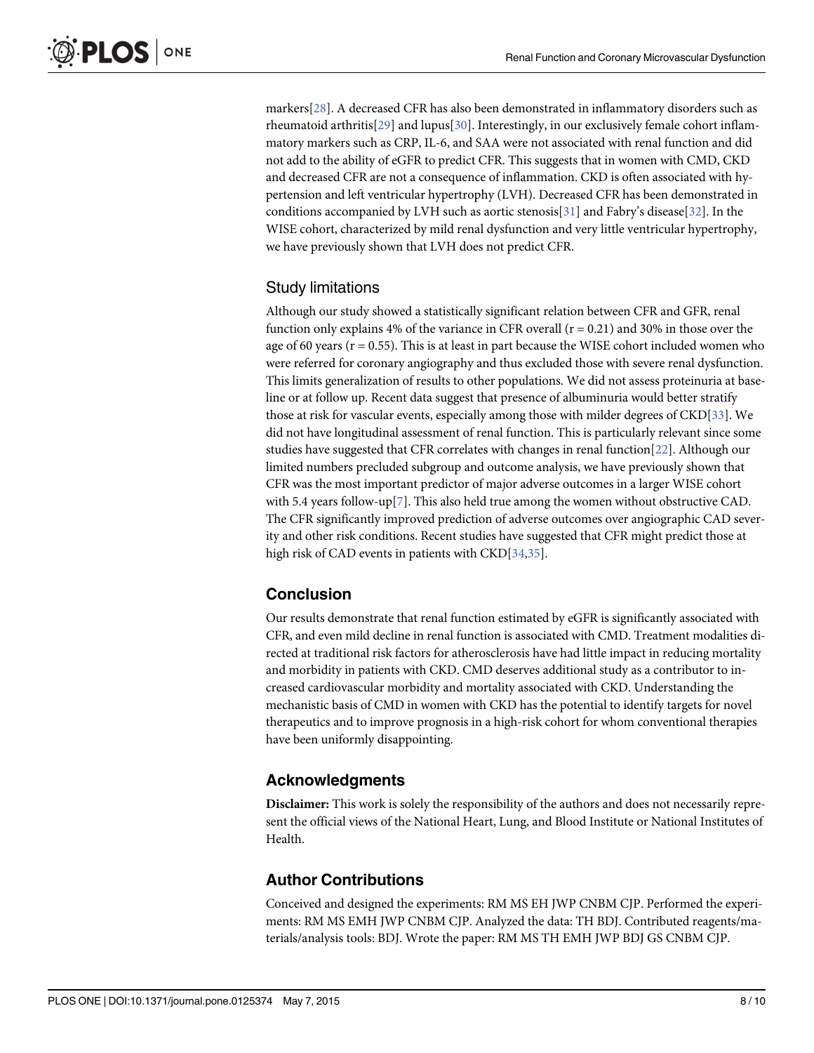<span id="page-7-0"></span>markers[[28\]](#page-9-0). A decreased CFR has also been demonstrated in inflammatory disorders such as rheumatoid arthritis[\[29\]](#page-9-0) and lupus[[30\]](#page-9-0). Interestingly, in our exclusively female cohort inflammatory markers such as CRP, IL-6, and SAA were not associated with renal function and did not add to the ability of eGFR to predict CFR. This suggests that in women with CMD, CKD and decreased CFR are not a consequence of inflammation. CKD is often associated with hypertension and left ventricular hypertrophy (LVH). Decreased CFR has been demonstrated in conditions accompanied by LVH such as aortic stenosis[[31](#page-9-0)] and Fabry's disease[\[32\]](#page-9-0). In the WISE cohort, characterized by mild renal dysfunction and very little ventricular hypertrophy, we have previously shown that LVH does not predict CFR.

#### Study limitations

Although our study showed a statistically significant relation between CFR and GFR, renal function only explains 4% of the variance in CFR overall  $(r = 0.21)$  and 30% in those over the age of 60 years ( $r = 0.55$ ). This is at least in part because the WISE cohort included women who were referred for coronary angiography and thus excluded those with severe renal dysfunction. This limits generalization of results to other populations. We did not assess proteinuria at baseline or at follow up. Recent data suggest that presence of albuminuria would better stratify those at risk for vascular events, especially among those with milder degrees of CKD[\[33](#page-9-0)]. We did not have longitudinal assessment of renal function. This is particularly relevant since some studies have suggested that CFR correlates with changes in renal function  $[22]$ . Although our limited numbers precluded subgroup and outcome analysis, we have previously shown that CFR was the most important predictor of major adverse outcomes in a larger WISE cohort with 5.4 years follow-up[[7](#page-8-0)]. This also held true among the women without obstructive CAD. The CFR significantly improved prediction of adverse outcomes over angiographic CAD severity and other risk conditions. Recent studies have suggested that CFR might predict those at high risk of CAD events in patients with  $\text{CKD}[34,35]$  $\text{CKD}[34,35]$ .

#### Conclusion

Our results demonstrate that renal function estimated by eGFR is significantly associated with CFR, and even mild decline in renal function is associated with CMD. Treatment modalities directed at traditional risk factors for atherosclerosis have had little impact in reducing mortality and morbidity in patients with CKD. CMD deserves additional study as a contributor to increased cardiovascular morbidity and mortality associated with CKD. Understanding the mechanistic basis of CMD in women with CKD has the potential to identify targets for novel therapeutics and to improve prognosis in a high-risk cohort for whom conventional therapies have been uniformly disappointing.

#### Acknowledgments

Disclaimer: This work is solely the responsibility of the authors and does not necessarily represent the official views of the National Heart, Lung, and Blood Institute or National Institutes of Health.

#### Author Contributions

Conceived and designed the experiments: RM MS EH JWP CNBM CJP. Performed the experiments: RM MS EMH JWP CNBM CJP. Analyzed the data: TH BDJ. Contributed reagents/materials/analysis tools: BDJ. Wrote the paper: RM MS TH EMH JWP BDJ GS CNBM CJP.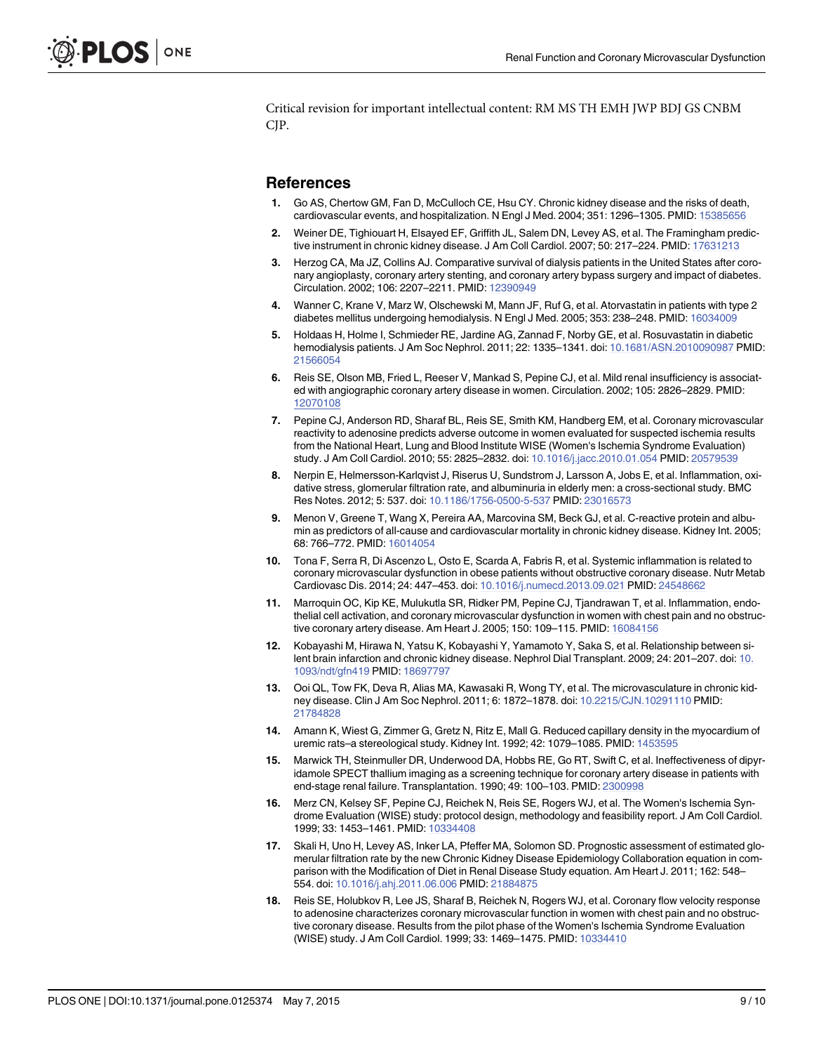<span id="page-8-0"></span>Critical revision for important intellectual content: RM MS TH EMH JWP BDJ GS CNBM CJP.

#### **References**

- [1.](#page-1-0) Go AS, Chertow GM, Fan D, McCulloch CE, Hsu CY. Chronic kidney disease and the risks of death, cardiovascular events, and hospitalization. N Engl J Med. 2004; 351: 1296–1305. PMID: [15385656](http://www.ncbi.nlm.nih.gov/pubmed/15385656)
- [2.](#page-1-0) Weiner DE, Tighiouart H, Elsayed EF, Griffith JL, Salem DN, Levey AS, et al. The Framingham predictive instrument in chronic kidney disease. J Am Coll Cardiol. 2007; 50: 217–224. PMID: [17631213](http://www.ncbi.nlm.nih.gov/pubmed/17631213)
- [3.](#page-1-0) Herzog CA, Ma JZ, Collins AJ. Comparative survival of dialysis patients in the United States after coronary angioplasty, coronary artery stenting, and coronary artery bypass surgery and impact of diabetes. Circulation. 2002; 106: 2207–2211. PMID: [12390949](http://www.ncbi.nlm.nih.gov/pubmed/12390949)
- [4.](#page-1-0) Wanner C, Krane V, Marz W, Olschewski M, Mann JF, Ruf G, et al. Atorvastatin in patients with type 2 diabetes mellitus undergoing hemodialysis. N Engl J Med. 2005; 353: 238–248. PMID: [16034009](http://www.ncbi.nlm.nih.gov/pubmed/16034009)
- [5.](#page-1-0) Holdaas H, Holme I, Schmieder RE, Jardine AG, Zannad F, Norby GE, et al. Rosuvastatin in diabetic hemodialysis patients. J Am Soc Nephrol. 2011; 22: 1335–1341. doi: [10.1681/ASN.2010090987](http://dx.doi.org/10.1681/ASN.2010090987) PMID: [21566054](http://www.ncbi.nlm.nih.gov/pubmed/21566054)
- [6.](#page-1-0) Reis SE, Olson MB, Fried L, Reeser V, Mankad S, Pepine CJ, et al. Mild renal insufficiency is associated with angiographic coronary artery disease in women. Circulation. 2002; 105: 2826–2829. PMID: [12070108](http://www.ncbi.nlm.nih.gov/pubmed/12070108)
- [7.](#page-1-0) Pepine CJ, Anderson RD, Sharaf BL, Reis SE, Smith KM, Handberg EM, et al. Coronary microvascular reactivity to adenosine predicts adverse outcome in women evaluated for suspected ischemia results from the National Heart, Lung and Blood Institute WISE (Women's Ischemia Syndrome Evaluation) study. J Am Coll Cardiol. 2010; 55: 2825–2832. doi: [10.1016/j.jacc.2010.01.054](http://dx.doi.org/10.1016/j.jacc.2010.01.054) PMID: [20579539](http://www.ncbi.nlm.nih.gov/pubmed/20579539)
- [8.](#page-1-0) Nerpin E, Helmersson-Karlqvist J, Riserus U, Sundstrom J, Larsson A, Jobs E, et al. Inflammation, oxidative stress, glomerular filtration rate, and albuminuria in elderly men: a cross-sectional study. BMC Res Notes. 2012; 5: 537. doi: [10.1186/1756-0500-5-537](http://dx.doi.org/10.1186/1756-0500-5-537) PMID: [23016573](http://www.ncbi.nlm.nih.gov/pubmed/23016573)
- [9.](#page-1-0) Menon V, Greene T, Wang X, Pereira AA, Marcovina SM, Beck GJ, et al. C-reactive protein and albumin as predictors of all-cause and cardiovascular mortality in chronic kidney disease. Kidney Int. 2005; 68: 766–772. PMID: [16014054](http://www.ncbi.nlm.nih.gov/pubmed/16014054)
- [10.](#page-1-0) Tona F, Serra R, Di Ascenzo L, Osto E, Scarda A, Fabris R, et al. Systemic inflammation is related to coronary microvascular dysfunction in obese patients without obstructive coronary disease. Nutr Metab Cardiovasc Dis. 2014; 24: 447–453. doi: [10.1016/j.numecd.2013.09.021](http://dx.doi.org/10.1016/j.numecd.2013.09.021) PMID: [24548662](http://www.ncbi.nlm.nih.gov/pubmed/24548662)
- [11.](#page-1-0) Marroquin OC, Kip KE, Mulukutla SR, Ridker PM, Pepine CJ, Tjandrawan T, et al. Inflammation, endothelial cell activation, and coronary microvascular dysfunction in women with chest pain and no obstructive coronary artery disease. Am Heart J. 2005; 150: 109–115. PMID: [16084156](http://www.ncbi.nlm.nih.gov/pubmed/16084156)
- [12.](#page-1-0) Kobayashi M, Hirawa N, Yatsu K, Kobayashi Y, Yamamoto Y, Saka S, et al. Relationship between si-lent brain infarction and chronic kidney disease. Nephrol Dial Transplant. 2009; 24: 201–207. doi: [10.](http://dx.doi.org/10.1093/ndt/gfn419) [1093/ndt/gfn419](http://dx.doi.org/10.1093/ndt/gfn419) PMID: [18697797](http://www.ncbi.nlm.nih.gov/pubmed/18697797)
- [13.](#page-1-0) Ooi QL, Tow FK, Deva R, Alias MA, Kawasaki R, Wong TY, et al. The microvasculature in chronic kidney disease. Clin J Am Soc Nephrol. 2011; 6: 1872–1878. doi: [10.2215/CJN.10291110](http://dx.doi.org/10.2215/CJN.10291110) PMID: [21784828](http://www.ncbi.nlm.nih.gov/pubmed/21784828)
- [14.](#page-1-0) Amann K, Wiest G, Zimmer G, Gretz N, Ritz E, Mall G. Reduced capillary density in the myocardium of uremic rats-a stereological study. Kidney Int. 1992; 42: 1079-1085. PMID: [1453595](http://www.ncbi.nlm.nih.gov/pubmed/1453595)
- [15.](#page-1-0) Marwick TH, Steinmuller DR, Underwood DA, Hobbs RE, Go RT, Swift C, et al. Ineffectiveness of dipyridamole SPECT thallium imaging as a screening technique for coronary artery disease in patients with end-stage renal failure. Transplantation. 1990; 49: 100–103. PMID: [2300998](http://www.ncbi.nlm.nih.gov/pubmed/2300998)
- [16.](#page-1-0) Merz CN, Kelsey SF, Pepine CJ, Reichek N, Reis SE, Rogers WJ, et al. The Women's Ischemia Syndrome Evaluation (WISE) study: protocol design, methodology and feasibility report. J Am Coll Cardiol. 1999; 33: 1453–1461. PMID: [10334408](http://www.ncbi.nlm.nih.gov/pubmed/10334408)
- [17.](#page-2-0) Skali H, Uno H, Levey AS, Inker LA, Pfeffer MA, Solomon SD. Prognostic assessment of estimated glomerular filtration rate by the new Chronic Kidney Disease Epidemiology Collaboration equation in comparison with the Modification of Diet in Renal Disease Study equation. Am Heart J. 2011; 162: 548– 554. doi: [10.1016/j.ahj.2011.06.006](http://dx.doi.org/10.1016/j.ahj.2011.06.006) PMID: [21884875](http://www.ncbi.nlm.nih.gov/pubmed/21884875)
- [18.](#page-2-0) Reis SE, Holubkov R, Lee JS, Sharaf B, Reichek N, Rogers WJ, et al. Coronary flow velocity response to adenosine characterizes coronary microvascular function in women with chest pain and no obstructive coronary disease. Results from the pilot phase of the Women's Ischemia Syndrome Evaluation (WISE) study. J Am Coll Cardiol. 1999; 33: 1469–1475. PMID: [10334410](http://www.ncbi.nlm.nih.gov/pubmed/10334410)